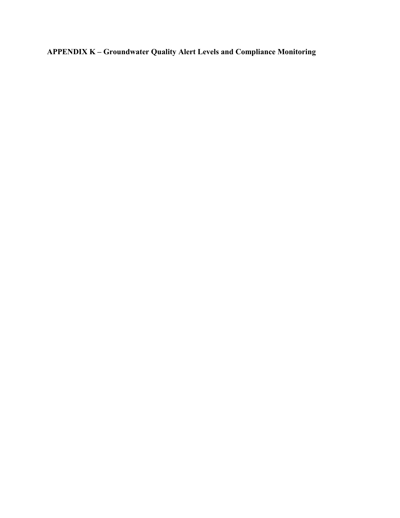**APPENDIX K – Groundwater Quality Alert Levels and Compliance Monitoring**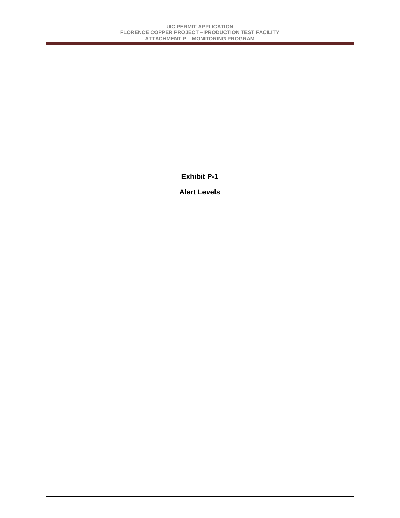**Exhibit P-1** 

**Alert Levels**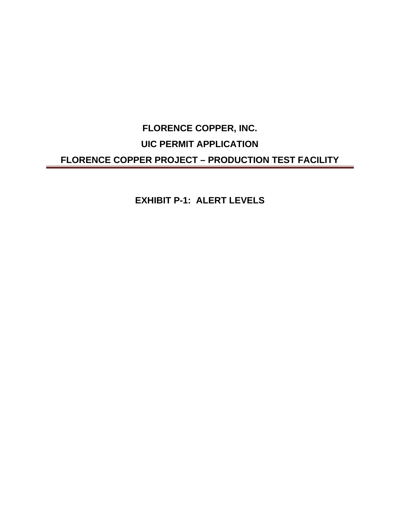# **FLORENCE COPPER, INC. UIC PERMIT APPLICATION FLORENCE COPPER PROJECT – PRODUCTION TEST FACILITY**

**EXHIBIT P-1: ALERT LEVELS**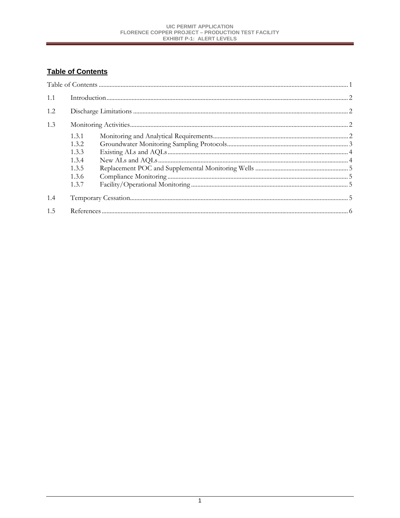# **Table of Contents**

| 1.1 |        |  |
|-----|--------|--|
| 1.2 |        |  |
| 1.3 |        |  |
|     | 1.3.1  |  |
|     | 1.3.2. |  |
|     | 1.3.3  |  |
|     | 1.3.4  |  |
|     | 1.3.5  |  |
|     | 1.3.6  |  |
|     | 1.3.7  |  |
| 1.4 |        |  |
| 1.5 |        |  |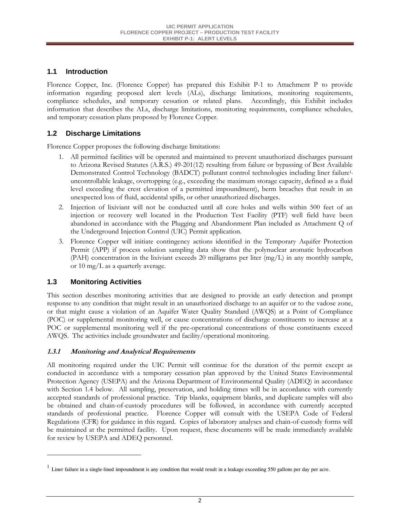# <span id="page-4-0"></span>**1.1 Introduction**

Florence Copper, Inc. (Florence Copper) has prepared this Exhibit P-1 to Attachment P to provide information regarding proposed alert levels (ALs), discharge limitations, monitoring requirements, compliance schedules, and temporary cessation or related plans. Accordingly, this Exhibit includes information that describes the ALs, discharge limitations, monitoring requirements, compliance schedules, and temporary cessation plans proposed by Florence Copper.

# **1.2 Discharge Limitations**

Florence Copper proposes the following discharge limitations:

- 1. All permitted facilities will be operated and maintained to prevent unauthorized discharges pursuant to Arizona Revised Statutes (A.R.S.) 49-201(12) resulting from failure or bypassing of Best Available Demonstrated Control Technology (BADCT) pollutant control technologies including liner failure<sup>1,</sup> uncontrollable leakage, overtopping (e.g., exceeding the maximum storage capacity, defined as a fluid level exceeding the crest elevation of a permitted impoundment), berm breaches that result in an unexpected loss of fluid, accidental spills, or other unauthorized discharges.
- abandoned in accordance with the Plugging and Abandonment Plan included as Attachment Q of 2. Injection of lixiviant will not be conducted until all core holes and wells within 500 feet of an injection or recovery well located in the Production Test Facility (PTF) well field have been the Underground Injection Control (UIC) Permit application.
- 3. Florence Copper will initiate contingency actions identified in the Temporary Aquifer Protection Permit (APP) if process solution sampling data show that the polynuclear aromatic hydrocarbon (PAH) concentration in the lixiviant exceeds 20 milligrams per liter (mg/L) in any monthly sample, or 10 mg/L as a quarterly average.

## **1.3 Monitoring Activities**

l

 or that might cause a violation of an Aquifer Water Quality Standard (AWQS) at a Point of Compliance This section describes monitoring activities that are designed to provide an early detection and prompt response to any condition that might result in an unauthorized discharge to an aquifer or to the vadose zone, (POC) or supplemental monitoring well, or cause concentrations of discharge constituents to increase at a POC or supplemental monitoring well if the pre-operational concentrations of those constituents exceed AWQS. The activities include groundwater and facility/operational monitoring.

## **1.3.1 Monitoring and Analytical Requirements**

All monitoring required under the UIC Permit will continue for the duration of the permit except as conducted in accordance with a temporary cessation plan approved by the United States Environmental Protection Agency (USEPA) and the Arizona Department of Environmental Quality (ADEQ) in accordance with Section 1.4 below. All sampling, preservation, and holding times will be in accordance with currently accepted standards of professional practice. Trip blanks, equipment blanks, and duplicate samples will also be obtained and chain-of-custody procedures will be followed, in accordance with currently accepted standards of professional practice. Florence Copper will consult with the USEPA Code of Federal Regulations (CFR) for guidance in this regard. Copies of laboratory analyses and chain-of-custody forms will be maintained at the permitted facility. Upon request, these documents will be made immediately available for review by USEPA and ADEQ personnel.

 $1$  Liner failure in a single-lined impoundment is any condition that would result in a leakage exceeding 550 gallons per day per acre.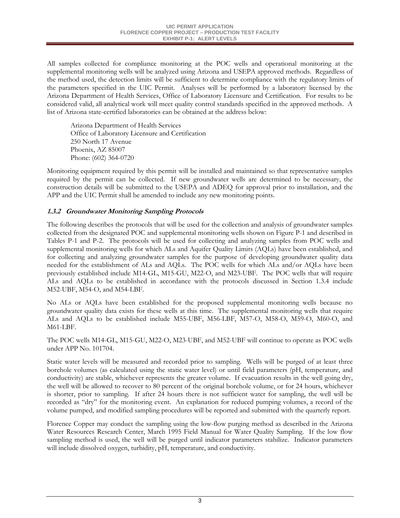<span id="page-5-0"></span>All samples collected for compliance monitoring at the POC wells and operational monitoring at the supplemental monitoring wells will be analyzed using Arizona and USEPA approved methods. Regardless of the method used, the detection limits will be sufficient to determine compliance with the regulatory limits of the parameters specified in the UIC Permit. Analyses will be performed by a laboratory licensed by the Arizona Department of Health Services, Office of Laboratory Licensure and Certification. For results to be considered valid, all analytical work will meet quality control standards specified in the approved methods. A list of Arizona state-certified laboratories can be obtained at the address below:

Arizona Department of Health Services Office of Laboratory Licensure and Certification 250 North 17 Avenue Phoenix, AZ 85007 Phone: (602) 364-0720

Monitoring equipment required by this permit will be installed and maintained so that representative samples required by the permit can be collected. If new groundwater wells are determined to be necessary, the construction details will be submitted to the USEPA and ADEQ for approval prior to installation, and the APP and the UIC Permit shall be amended to include any new monitoring points.

## **1.3.2 Groundwater Monitoring Sampling Protocols**

The following describes the protocols that will be used for the collection and analysis of groundwater samples collected from the designated POC and supplemental monitoring wells shown on Figure P-1 and described in Tables P-1 and P-2. The protocols will be used for collecting and analyzing samples from POC wells and supplemental monitoring wells for which ALs and Aquifer Quality Limits (AQLs) have been established, and for collecting and analyzing groundwater samples for the purpose of developing groundwater quality data needed for the establishment of ALs and AQLs. The POC wells for which ALs and/or AQLs have been previously established include M14-GL, M15-GU, M22-O, and M23-UBF. The POC wells that will require ALs and AQLs to be established in accordance with the protocols discussed in Section 1.3.4 include M52-UBF, M54-O, and M54-LBF.

No ALs or AQLs have been established for the proposed supplemental monitoring wells because no groundwater quality data exists for these wells at this time. The supplemental monitoring wells that require ALs and AQLs to be established include M55-UBF, M56-LBF, M57-O, M58-O, M59-O, M60-O, and M61-LBF.

The POC wells M14-GL, M15-GU, M22-O, M23-UBF, and M52-UBF will continue to operate as POC wells under APP No. 101704.

Static water levels will be measured and recorded prior to sampling. Wells will be purged of at least three borehole volumes (as calculated using the static water level) or until field parameters (pH, temperature, and conductivity) are stable, whichever represents the greater volume. If evacuation results in the well going dry, the well will be allowed to recover to 80 percent of the original borehole volume, or for 24 hours, whichever is shorter, prior to sampling. If after 24 hours there is not sufficient water for sampling, the well will be recorded as "dry" for the monitoring event. An explanation for reduced pumping volumes, a record of the volume pumped, and modified sampling procedures will be reported and submitted with the quarterly report.

Florence Copper may conduct the sampling using the low-flow purging method as described in the Arizona Water Resources Research Center, March 1995 Field Manual for Water Quality Sampling. If the low flow sampling method is used, the well will be purged until indicator parameters stabilize. Indicator parameters will include dissolved oxygen, turbidity, pH, temperature, and conductivity.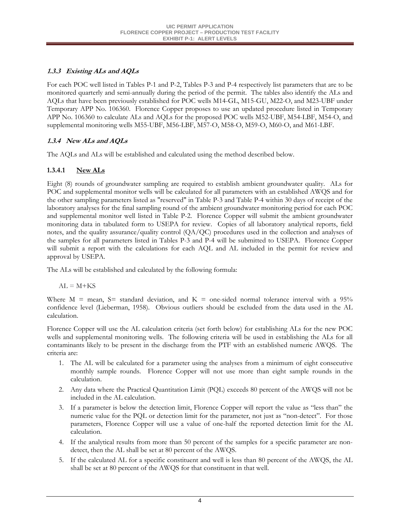## <span id="page-6-0"></span>**1.3.3 Existing ALs and AQLs**

For each POC well listed in Tables P-1 and P-2, Tables P-3 and P-4 respectively list parameters that are to be monitored quarterly and semi-annually during the period of the permit. The tables also identify the ALs and AQLs that have been previously established for POC wells M14-GL, M15-GU, M22-O, and M23-UBF under Temporary APP No. 106360. Florence Copper proposes to use an updated procedure listed in Temporary APP No. 106360 to calculate ALs and AQLs for the proposed POC wells M52-UBF, M54-LBF, M54-O, and supplemental monitoring wells M55-UBF, M56-LBF, M57-O, M58-O, M59-O, M60-O, and M61-LBF.

# **1.3.4 New ALs and AQLs**

The AQLs and ALs will be established and calculated using the method described below.

# **1.3.4.1 New ALs**

Eight (8) rounds of groundwater sampling are required to establish ambient groundwater quality. ALs for POC and supplemental monitor wells will be calculated for all parameters with an established AWQS and for the other sampling parameters listed as "reserved" in Table P-3 and Table P-4 within 30 days of receipt of the laboratory analyses for the final sampling round of the ambient groundwater monitoring period for each POC and supplemental monitor well listed in Table P-2. Florence Copper will submit the ambient groundwater monitoring data in tabulated form to USEPA for review. Copies of all laboratory analytical reports, field notes, and the quality assurance/quality control (QA/QC) procedures used in the collection and analyses of the samples for all parameters listed in Tables P-3 and P-4 will be submitted to USEPA. Florence Copper will submit a report with the calculations for each AQL and AL included in the permit for review and approval by USEPA.

The ALs will be established and calculated by the following formula:

 $AL = M+KS$ 

Where  $M =$  mean,  $S =$  standard deviation, and  $K =$  one-sided normal tolerance interval with a 95% confidence level (Lieberman, 1958). Obvious outliers should be excluded from the data used in the AL calculation.

Florence Copper will use the AL calculation criteria (set forth below) for establishing ALs for the new POC wells and supplemental monitoring wells. The following criteria will be used in establishing the ALs for all contaminants likely to be present in the discharge from the PTF with an established numeric AWQS. The criteria are:

- 1. The AL will be calculated for a parameter using the analyses from a minimum of eight consecutive monthly sample rounds. Florence Copper will not use more than eight sample rounds in the calculation.
- 2. Any data where the Practical Quantitation Limit (PQL) exceeds 80 percent of the AWQS will not be included in the AL calculation.
- 3. If a parameter is below the detection limit, Florence Copper will report the value as "less than" the numeric value for the PQL or detection limit for the parameter, not just as "non-detect". For those parameters, Florence Copper will use a value of one-half the reported detection limit for the AL calculation.
- 4. If the analytical results from more than 50 percent of the samples for a specific parameter are nondetect, then the AL shall be set at 80 percent of the AWQS.
- 5. If the calculated AL for a specific constituent and well is less than 80 percent of the AWQS, the AL shall be set at 80 percent of the AWQS for that constituent in that well.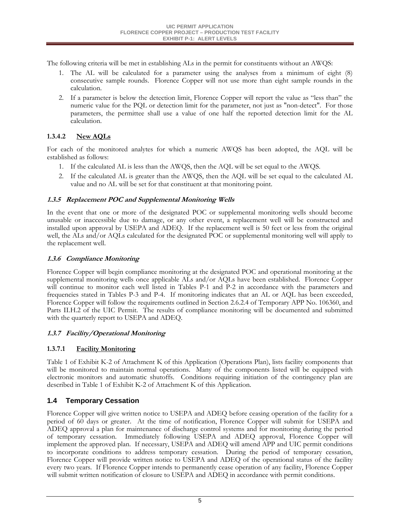<span id="page-7-0"></span>The following criteria will be met in establishing ALs in the permit for constituents without an AWQS:

- 1. The AL will be calculated for a parameter using the analyses from a minimum of eight (8) consecutive sample rounds. Florence Copper will not use more than eight sample rounds in the calculation.
- 2. If a parameter is below the detection limit, Florence Copper will report the value as "less than" the numeric value for the PQL or detection limit for the parameter, not just as "non-detect". For those parameters, the permittee shall use a value of one half the reported detection limit for the AL calculation.

## **1.3.4.2 New AQLs**

For each of the monitored analytes for which a numeric AWQS has been adopted, the AQL will be established as follows:

- 1. If the calculated AL is less than the AWQS, then the AQL will be set equal to the AWQS.
- 2. If the calculated AL is greater than the AWQS, then the AQL will be set equal to the calculated AL value and no AL will be set for that constituent at that monitoring point.

## **1.3.5 Replacement POC and Supplemental Monitoring Wells**

In the event that one or more of the designated POC or supplemental monitoring wells should become unusable or inaccessible due to damage, or any other event, a replacement well will be constructed and installed upon approval by USEPA and ADEQ. If the replacement well is 50 feet or less from the original well, the ALs and/or AQLs calculated for the designated POC or supplemental monitoring well will apply to the replacement well.

## **1.3.6 Compliance Monitoring**

Florence Copper will begin compliance monitoring at the designated POC and operational monitoring at the supplemental monitoring wells once applicable ALs and/or AQLs have been established. Florence Copper will continue to monitor each well listed in Tables P-1 and P-2 in accordance with the parameters and frequencies stated in Tables P-3 and P-4. If monitoring indicates that an AL or AQL has been exceeded, Florence Copper will follow the requirements outlined in Section 2.6.2.4 of Temporary APP No. 106360, and Parts II.H.2 of the UIC Permit. The results of compliance monitoring will be documented and submitted with the quarterly report to USEPA and ADEQ.

## **1.3.7 Facility/Operational Monitoring**

## **1.3.7.1 Facility Monitoring**

Table 1 of Exhibit K-2 of Attachment K of this Application (Operations Plan), lists facility components that will be monitored to maintain normal operations. Many of the components listed will be equipped with electronic monitors and automatic shutoffs. Conditions requiring initiation of the contingency plan are described in Table 1 of Exhibit K-2 of Attachment K of this Application.

## **1.4 Temporary Cessation**

Florence Copper will give written notice to USEPA and ADEQ before ceasing operation of the facility for a period of 60 days or greater. At the time of notification, Florence Copper will submit for USEPA and ADEQ approval a plan for maintenance of discharge control systems and for monitoring during the period of temporary cessation. Immediately following USEPA and ADEQ approval, Florence Copper will implement the approved plan. If necessary, USEPA and ADEQ will amend APP and UIC permit conditions to incorporate conditions to address temporary cessation. During the period of temporary cessation, Florence Copper will provide written notice to USEPA and ADEQ of the operational status of the facility every two years. If Florence Copper intends to permanently cease operation of any facility, Florence Copper will submit written notification of closure to USEPA and ADEQ in accordance with permit conditions.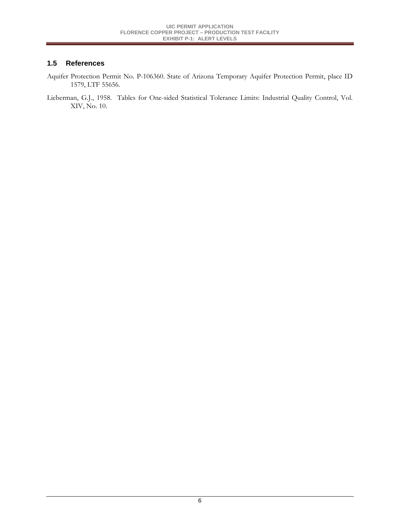## <span id="page-8-0"></span>**1.5 References**

- Aquifer Protection Permit No. P-106360. State of Arizona Temporary Aquifer Protection Permit, place ID 1579, LTF 55656.
- Lieberman, G.J., 1958. Tables for One-sided Statistical Tolerance Limits: Industrial Quality Control, Vol. XIV, No. 10.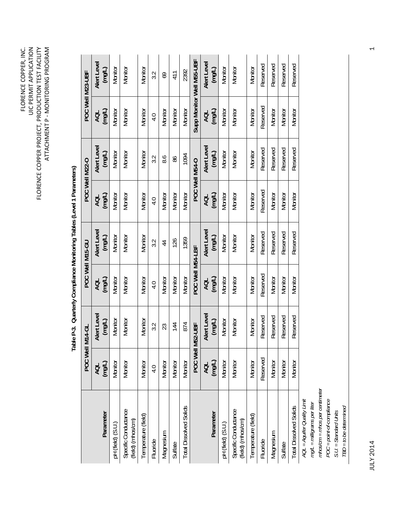| FLORENCE COPPER, INC.<br><b>UIC PERMIT APPLICATION</b> |
|--------------------------------------------------------|
|--------------------------------------------------------|

|                                           | POC Well        | <b>M14-GL</b>  |                  | POC Well M15-GU |          | POC Well M22-O        |               | POC Well M23-UBF          |
|-------------------------------------------|-----------------|----------------|------------------|-----------------|----------|-----------------------|---------------|---------------------------|
|                                           |                 | Alert Level    | AQL              | Alert Level     | d        |                       |               | Alert Level               |
| Parameter                                 | AQL<br>(mg/L)   | (mq/L)         | (mg/L)           | (mg/L)          | (mg/L)   | Alert Level<br>(mg/L) | AQL<br>(mg/L) | $($ mg/L $)$              |
| pH (field) (S.U.)                         | Monitor         | Monitor        | Monitor          | Monitor         | Monitor  | Monitor               | Monitor       | Monitor                   |
| Specific Conductance<br>(field) (mhos/cm) | Monitor         | Monitor        | Monitor          | Monitor         | Monitor  | Monitor               | Monitor       | Monitor                   |
| Temperature (field)                       | Monitor         | Monitor        | Monitor          | Monitor         | Monitor  | Monitor               | Monitor       | Monitor                   |
| Fluoride                                  | 4.0             | 3.2            | 4.0              | 3.2             | 4.0      | 3.2                   | 4.0           | 3.2                       |
| Magnesium                                 | Monitor         | 23             | Monitor          | $\overline{4}$  | Monitor  | 8.6                   | Monitor       | 69                        |
| Sulfate                                   | Monitor         | 144            | Monitor          | 126             | Monitor  | 86                    | Monitor       | 41                        |
| <b>Total Dissolved Solids</b>             | Monitor         | 874            | Monitor          | 1359            | Monitor  | 1094                  | Monitor       | 2392                      |
|                                           | <b>POC Well</b> | <b>M52-UBF</b> | POC Well M54-LBF |                 |          | POC Well M54-0        |               | Supp Monitor Well M55-UBF |
|                                           | <b>AQL</b>      | Alert Level    | AQL              | Alert Level     | AQL      | Alert Level           | AQL           | Alert Level               |
| Parameter                                 | (mg/L)          | (mg/L)         | (mg/L)           | (mg/L)          | (mg/L)   | (mqL)                 | (mg/L)        | $\overline{\Box}$ (mg/L)  |
| pH (field) (S.U.)                         | Monitor         | Monitor        | Monitor          | Monitor         | Monitor  | Monitor               | Monitor       | Monitor                   |
| Specific Conductance<br>(field) (mhos/cm) | Monitor         | Monitor        | Monitor          | Monitor         | Monitor  | Monitor               | Monitor       | Monitor                   |
| Temperature (field)                       | Monitor         | Monitor        | Monitor          | Monitor         | Monitor  | Monitor               | Monitor       | Monitor                   |
| Fluoride                                  | Reserved        | Reserved       | Reserved         | Reserved        | Reserved | Reserved              | Reserved      | Reserved                  |
| Magnesium                                 | Monitor         | Reserved       | Monitor          | Reserved        | Monitor  | Reserved              | Monitor       | Reserved                  |
| Sulfate                                   | Monitor         | Reserved       | Monitor          | Reserved        | Monitor  | Reserved              | Monitor       | Reserved                  |
| <b>Total Dissolved Solids</b>             | Monitor         | Reserved       | Monitor          | Reserved        | Monitor  | Reserved              | Monitor       | Reserved                  |
| AQL = Aquifer Quality Limit               |                 |                |                  |                 |          |                       |               |                           |

Table P-3. Quarterly Compliance Monitoring Tables (Level 1 Parameters) **Table P-3. Quarterly Compliance Monitoring Tables (Level 1 Parameters)** 

> AQL = Aquirer Quainy Limit<br>mg/L = milligrams per liter<br>mhos/cm = mhos per centimeter *mg/L = milligrams per liter*

*mhos/cm = mhos per centimeter*  POC = point-of-compliance<br>S.U. = Standard Units<br>TBD = to be determined *POC = point-of-compliance* 

*S.U. = Standard Units* 

*TBD = to be determined*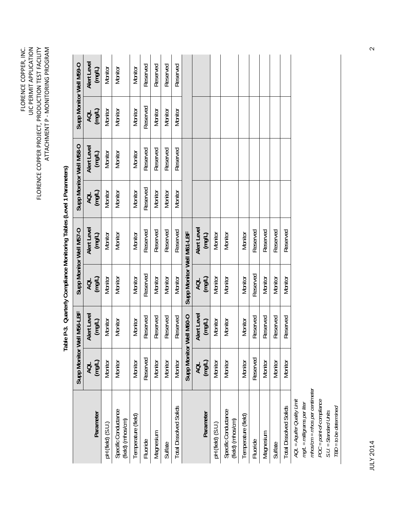|                                                            |               |                           |                           | Table P-3. Quarterly Compliance Monitoring Tables (Level 1 Parameters) |               |                         |               |                         |
|------------------------------------------------------------|---------------|---------------------------|---------------------------|------------------------------------------------------------------------|---------------|-------------------------|---------------|-------------------------|
|                                                            |               | Supp Monitor Well M56-LBF |                           | Supp Monitor Well M57-O                                                |               | Supp Monitor Well M58-O |               | Supp Monitor Well M59-O |
| Parameter                                                  | AQL<br>(mg/L) | Alert Level<br>(mg/L)     | AQL<br>(mg/L)             | Alert Level<br>(mg/L)                                                  | AQL<br>(mg/L) | Alert Level<br>(mg/L)   | AQL<br>(mg/L) | Alert Level<br>(mg/L)   |
| pH (field) (S.U.)                                          | Monitor       | Monitor                   | Monitor                   | Monitor                                                                | Monitor       | Monitor                 | Monitor       | Monitor                 |
| Specific Conductance<br>(field) (mhos/cm)                  | Monitor       | Monitor                   | Monitor                   | Monitor                                                                | Monitor       | Monitor                 | Monitor       | Monitor                 |
| Temperature (field)                                        | Monitor       | Monitor                   | Monitor                   | Monitor                                                                | Monitor       | Monitor                 | Monitor       | Monitor                 |
| Fluoride                                                   | Reserved      | Reserved                  | Reserved                  | Reserved                                                               | Reserved      | Reserved                | Reserved      | Reserved                |
| Magnesium                                                  | Monitor       | Reserved                  | Monitor                   | Reserved                                                               | Monitor       | Reserved                | Monitor       | Reserved                |
| Sulfate                                                    | Monitor       | Reserved                  | Monitor                   | Reserved                                                               | Monitor       | Reserved                | Monitor       | Reserved                |
| <b>Total Dissolved Solids</b>                              | Monitor       | Reserved                  | Monitor                   | Reserved                                                               | Monitor       | Reserved                | Monitor       | Reserved                |
|                                                            | Supp Monitor  | Well M60-O                | Supp Monitor Well M61-LBF |                                                                        |               |                         |               |                         |
|                                                            | AQL<br>(mg/L) | Alert Level               | <b>AQL</b><br>(mg/L)      | Alert Level                                                            |               |                         |               |                         |
| Parameter                                                  |               | (mg/L)                    |                           | (mg/L)                                                                 |               |                         |               |                         |
| pH (field) (S.U.)                                          | Monitor       | Monitor                   | Monitor                   | Monitor                                                                |               |                         |               |                         |
| Specific Conductance<br>(field) (mhos/cm)                  | Monitor       | Monitor                   | Monitor                   | Monitor                                                                |               |                         |               |                         |
| Temperature (field)                                        | Monitor       | Monitor                   | Monitor                   | Monitor                                                                |               |                         |               |                         |
| Fluoride                                                   | Reserved      | Reserved                  | Reserved                  | Reserved                                                               |               |                         |               |                         |
| Magnesium                                                  | Monitor       | Reserved                  | Monitor                   | Reserved                                                               |               |                         |               |                         |
| Sulfate                                                    | Monitor       | Reserved                  | Monitor                   | Reserved                                                               |               |                         |               |                         |
| <b>Total Dissolved Solids</b>                              | Monitor       | Reserved                  | Monitor                   | Reserved                                                               |               |                         |               |                         |
| AQL = Aquifer Quality Limit<br>mg/L = milligrams per liter |               |                           |                           |                                                                        |               |                         |               |                         |

FLORENCE COPPER, INC. UIC PERMIT APPLICATION FLORENCE COPPER PROJECT, PRODUCTION TEST FACILITY

FLORENCE COPPER<br>UIC PERMIT APPLICATION<br>FLORENCE COPPER PROJECT, PRODUCTION TEST FACILITY<br>ATTACHIMENT P - MONITORING PROGRAM

ATTACHMENT P ‐ MONITORING PROGRAM

JULY 2014 2 JULY 2014

*mg/L = milligrams per liter mhos/cm = mhos per centimeter POC = point-of-compliance S.U. = Standard Units TBD = to be determined* 

mhos/cm = mhos per centimeter POC = point-of-compliance

 $TBD = to be determined$  $S.U. = Standard Units$ 

 $\mathbf{\Omega}$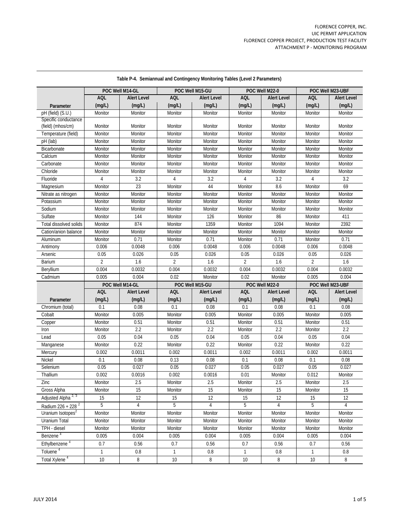| <b>AQL</b><br><b>Alert Level</b><br><b>AQL</b><br><b>Alert Level</b><br><b>AQL</b><br><b>Alert Level</b><br><b>AQL</b><br><b>Alert Level</b><br>(mg/L)<br>(mg/L)<br>(mg/L)<br>(mg/L)<br>(mg/L)<br>(mg/L)<br>(mg/L)<br>(mg/L)<br>Parameter<br>pH (field) (S.U.)<br>Monitor<br>Monitor<br>Monitor<br>Monitor<br>Monitor<br>Monitor<br>Monitor<br>Monitor<br>Specific conductance<br>(field) (mhos/cm)<br>Monitor<br>Monitor<br>Monitor<br>Monitor<br>Monitor<br>Monitor<br>Monitor<br>Monitor<br>Temperature (field)<br>Monitor<br>Monitor<br>Monitor<br>Monitor<br>Monitor<br>Monitor<br>Monitor<br>Monitor<br>pH (lab)<br>Monitor<br>Monitor<br>Monitor<br>Monitor<br>Monitor<br>Monitor<br>Monitor<br>Monitor<br>Bicarbonate<br>Monitor<br>Monitor<br>Monitor<br>Monitor<br>Monitor<br>Monitor<br>Monitor<br>Monitor<br>Calcium<br>Monitor<br>Monitor<br>Monitor<br>Monitor<br>Monitor<br>Monitor<br>Monitor<br>Monitor<br>Carbonate<br>Monitor<br>Monitor<br>Monitor<br>Monitor<br>Monitor<br>Monitor<br>Monitor<br>Monitor<br>Chloride<br>Monitor<br>Monitor<br>Monitor<br>Monitor<br>Monitor<br>Monitor<br>Monitor<br>Monitor<br>Fluoride<br>3.2<br>3.2<br>3.2<br>4<br>3.2<br>4<br>4<br>4<br>23<br>44<br>8.6<br>69<br>Monitor<br>Monitor<br>Monitor<br>Monitor<br>Magnesium<br>Monitor<br>Nitrate as nitrogen<br>Monitor<br>Monitor<br>Monitor<br>Monitor<br>Monitor<br>Monitor<br>Monitor<br>Potassium<br>Monitor<br>Monitor<br>Monitor<br>Monitor<br>Monitor<br>Monitor<br>Monitor<br>Monitor<br>Sodium<br>Monitor<br>Monitor<br>Monitor<br>Monitor<br>Monitor<br>Monitor<br>Monitor<br>Monitor<br>126<br>Sulfate<br>144<br>Monitor<br>86<br>411<br>Monitor<br>Monitor<br>Monitor<br>874<br>1359<br>1094<br>2392<br>Total dissolved solids<br>Monitor<br>Monitor<br>Monitor<br>Monitor<br>Cation/anion balance<br>Monitor<br>Monitor<br>Monitor<br>Monitor<br>Monitor<br>Monitor<br>Monitor<br>Monitor<br>0.71<br>0.71<br>0.71<br>0.71<br>Aluminum<br>Monitor<br>Monitor<br>Monitor<br>Monitor<br>0.0048<br>0.006<br>0.0048<br>0.006<br>0.0048<br>0.006<br>0.0048<br>0.006<br>Antimony<br>0.05<br>0.026<br>0.05<br>0.026<br>0.05<br>0.026<br>0.05<br>0.026<br>Arsenic<br>$\overline{2}$<br>Barium<br>$\overline{2}$<br>1.6<br>1.6<br>$\overline{2}$<br>1.6<br>$\overline{2}$<br>1.6<br>0.004<br>0.0032<br>0.004<br>0.0032<br>0.004<br>0.0032<br>0.004<br>0.0032<br>Beryllium<br>0.005<br>0.004<br>0.02<br>0.02<br>0.005<br>0.004<br>Cadmium<br>Monitor<br>Monitor<br>POC Well M14-GL<br>POC Well M22-0<br>POC Well M15-GU<br>POC Well M23-UBF<br><b>AQL</b><br><b>AQL</b><br><b>Alert Level</b><br><b>AQL</b><br><b>AQL</b><br><b>Alert Level</b><br><b>Alert Level</b><br><b>Alert Level</b><br>(mq/L)<br>(mq/L)<br>(mg/L)<br>(mq/L)<br>(mq/L)<br>(mg/L)<br>(mg/L)<br>(mq/L)<br>Parameter<br>0.08<br>0.08<br>0.08<br>0.08<br>0.1<br>0.1<br>0.1<br>0.1<br>Chromium (total)<br>0.005<br>0.005<br>0.005<br>0.005<br>Monitor<br>Monitor<br>Monitor<br>Monitor<br>Cobalt<br>0.51<br>0.51<br>0.51<br>0.51<br>Monitor<br>Monitor<br>Monitor<br>Monitor<br>Copper<br>2.2<br>2.2<br>2.2<br>2.2<br>Monitor<br>Monitor<br>Monitor<br>Monitor<br>Iron<br>0.04<br>0.04<br>0.04<br>0.04<br>0.05<br>0.05<br>0.05<br>0.05<br>Lead<br>0.22<br>0.22<br>0.22<br>0.22<br>Monitor<br>Monitor<br>Monitor<br>Monitor<br>Manganese<br>0.0011<br>0.0011<br>0.002<br>0.002<br>0.0011<br>0.002<br>0.002<br>0.0011<br>Mercury<br>0.08<br>0.13<br><b>Nickel</b><br>0.08<br>0.1<br>0.08<br>0.1<br>0.08<br>0.1<br>0.05<br>0.027<br>0.05<br>0.027<br>0.05<br>0.027<br>0.05<br>0.027<br>Selenium<br>Thallium<br>0.002<br>0.0016<br>0.002<br>0.0016<br>0.01<br>0.012<br>Monitor<br>Monitor<br>2.5<br>2.5<br>2.5<br>2.5<br>Zinc<br>Monitor<br>Monitor<br>Monitor<br>Monitor |  | POC Well M14-GL | POC Well M15-GU | POC Well M22-0 | POC Well M23-UBF |
|-------------------------------------------------------------------------------------------------------------------------------------------------------------------------------------------------------------------------------------------------------------------------------------------------------------------------------------------------------------------------------------------------------------------------------------------------------------------------------------------------------------------------------------------------------------------------------------------------------------------------------------------------------------------------------------------------------------------------------------------------------------------------------------------------------------------------------------------------------------------------------------------------------------------------------------------------------------------------------------------------------------------------------------------------------------------------------------------------------------------------------------------------------------------------------------------------------------------------------------------------------------------------------------------------------------------------------------------------------------------------------------------------------------------------------------------------------------------------------------------------------------------------------------------------------------------------------------------------------------------------------------------------------------------------------------------------------------------------------------------------------------------------------------------------------------------------------------------------------------------------------------------------------------------------------------------------------------------------------------------------------------------------------------------------------------------------------------------------------------------------------------------------------------------------------------------------------------------------------------------------------------------------------------------------------------------------------------------------------------------------------------------------------------------------------------------------------------------------------------------------------------------------------------------------------------------------------------------------------------------------------------------------------------------------------------------------------------------------------------------------------------------------------------------------------------------------------------------------------------------------------------------------------------------------------------------------------------------------------------------------------------------------------------------------------------------------------------------------------------------------------------------------------------------------------------------------------------------------------------------------------------------------------------------------------------------------------------------------------------------------------------------------------------------------------------------------------------------------------------------------------------------------------------------------------------------------------------------------------------------------------------------------------------------------------------------------------------------------------------------------|--|-----------------|-----------------|----------------|------------------|
|                                                                                                                                                                                                                                                                                                                                                                                                                                                                                                                                                                                                                                                                                                                                                                                                                                                                                                                                                                                                                                                                                                                                                                                                                                                                                                                                                                                                                                                                                                                                                                                                                                                                                                                                                                                                                                                                                                                                                                                                                                                                                                                                                                                                                                                                                                                                                                                                                                                                                                                                                                                                                                                                                                                                                                                                                                                                                                                                                                                                                                                                                                                                                                                                                                                                                                                                                                                                                                                                                                                                                                                                                                                                                                                                                 |  |                 |                 |                |                  |
|                                                                                                                                                                                                                                                                                                                                                                                                                                                                                                                                                                                                                                                                                                                                                                                                                                                                                                                                                                                                                                                                                                                                                                                                                                                                                                                                                                                                                                                                                                                                                                                                                                                                                                                                                                                                                                                                                                                                                                                                                                                                                                                                                                                                                                                                                                                                                                                                                                                                                                                                                                                                                                                                                                                                                                                                                                                                                                                                                                                                                                                                                                                                                                                                                                                                                                                                                                                                                                                                                                                                                                                                                                                                                                                                                 |  |                 |                 |                |                  |
|                                                                                                                                                                                                                                                                                                                                                                                                                                                                                                                                                                                                                                                                                                                                                                                                                                                                                                                                                                                                                                                                                                                                                                                                                                                                                                                                                                                                                                                                                                                                                                                                                                                                                                                                                                                                                                                                                                                                                                                                                                                                                                                                                                                                                                                                                                                                                                                                                                                                                                                                                                                                                                                                                                                                                                                                                                                                                                                                                                                                                                                                                                                                                                                                                                                                                                                                                                                                                                                                                                                                                                                                                                                                                                                                                 |  |                 |                 |                |                  |
|                                                                                                                                                                                                                                                                                                                                                                                                                                                                                                                                                                                                                                                                                                                                                                                                                                                                                                                                                                                                                                                                                                                                                                                                                                                                                                                                                                                                                                                                                                                                                                                                                                                                                                                                                                                                                                                                                                                                                                                                                                                                                                                                                                                                                                                                                                                                                                                                                                                                                                                                                                                                                                                                                                                                                                                                                                                                                                                                                                                                                                                                                                                                                                                                                                                                                                                                                                                                                                                                                                                                                                                                                                                                                                                                                 |  |                 |                 |                |                  |
|                                                                                                                                                                                                                                                                                                                                                                                                                                                                                                                                                                                                                                                                                                                                                                                                                                                                                                                                                                                                                                                                                                                                                                                                                                                                                                                                                                                                                                                                                                                                                                                                                                                                                                                                                                                                                                                                                                                                                                                                                                                                                                                                                                                                                                                                                                                                                                                                                                                                                                                                                                                                                                                                                                                                                                                                                                                                                                                                                                                                                                                                                                                                                                                                                                                                                                                                                                                                                                                                                                                                                                                                                                                                                                                                                 |  |                 |                 |                |                  |
|                                                                                                                                                                                                                                                                                                                                                                                                                                                                                                                                                                                                                                                                                                                                                                                                                                                                                                                                                                                                                                                                                                                                                                                                                                                                                                                                                                                                                                                                                                                                                                                                                                                                                                                                                                                                                                                                                                                                                                                                                                                                                                                                                                                                                                                                                                                                                                                                                                                                                                                                                                                                                                                                                                                                                                                                                                                                                                                                                                                                                                                                                                                                                                                                                                                                                                                                                                                                                                                                                                                                                                                                                                                                                                                                                 |  |                 |                 |                |                  |
|                                                                                                                                                                                                                                                                                                                                                                                                                                                                                                                                                                                                                                                                                                                                                                                                                                                                                                                                                                                                                                                                                                                                                                                                                                                                                                                                                                                                                                                                                                                                                                                                                                                                                                                                                                                                                                                                                                                                                                                                                                                                                                                                                                                                                                                                                                                                                                                                                                                                                                                                                                                                                                                                                                                                                                                                                                                                                                                                                                                                                                                                                                                                                                                                                                                                                                                                                                                                                                                                                                                                                                                                                                                                                                                                                 |  |                 |                 |                |                  |
|                                                                                                                                                                                                                                                                                                                                                                                                                                                                                                                                                                                                                                                                                                                                                                                                                                                                                                                                                                                                                                                                                                                                                                                                                                                                                                                                                                                                                                                                                                                                                                                                                                                                                                                                                                                                                                                                                                                                                                                                                                                                                                                                                                                                                                                                                                                                                                                                                                                                                                                                                                                                                                                                                                                                                                                                                                                                                                                                                                                                                                                                                                                                                                                                                                                                                                                                                                                                                                                                                                                                                                                                                                                                                                                                                 |  |                 |                 |                |                  |
|                                                                                                                                                                                                                                                                                                                                                                                                                                                                                                                                                                                                                                                                                                                                                                                                                                                                                                                                                                                                                                                                                                                                                                                                                                                                                                                                                                                                                                                                                                                                                                                                                                                                                                                                                                                                                                                                                                                                                                                                                                                                                                                                                                                                                                                                                                                                                                                                                                                                                                                                                                                                                                                                                                                                                                                                                                                                                                                                                                                                                                                                                                                                                                                                                                                                                                                                                                                                                                                                                                                                                                                                                                                                                                                                                 |  |                 |                 |                |                  |
|                                                                                                                                                                                                                                                                                                                                                                                                                                                                                                                                                                                                                                                                                                                                                                                                                                                                                                                                                                                                                                                                                                                                                                                                                                                                                                                                                                                                                                                                                                                                                                                                                                                                                                                                                                                                                                                                                                                                                                                                                                                                                                                                                                                                                                                                                                                                                                                                                                                                                                                                                                                                                                                                                                                                                                                                                                                                                                                                                                                                                                                                                                                                                                                                                                                                                                                                                                                                                                                                                                                                                                                                                                                                                                                                                 |  |                 |                 |                |                  |
|                                                                                                                                                                                                                                                                                                                                                                                                                                                                                                                                                                                                                                                                                                                                                                                                                                                                                                                                                                                                                                                                                                                                                                                                                                                                                                                                                                                                                                                                                                                                                                                                                                                                                                                                                                                                                                                                                                                                                                                                                                                                                                                                                                                                                                                                                                                                                                                                                                                                                                                                                                                                                                                                                                                                                                                                                                                                                                                                                                                                                                                                                                                                                                                                                                                                                                                                                                                                                                                                                                                                                                                                                                                                                                                                                 |  |                 |                 |                |                  |
|                                                                                                                                                                                                                                                                                                                                                                                                                                                                                                                                                                                                                                                                                                                                                                                                                                                                                                                                                                                                                                                                                                                                                                                                                                                                                                                                                                                                                                                                                                                                                                                                                                                                                                                                                                                                                                                                                                                                                                                                                                                                                                                                                                                                                                                                                                                                                                                                                                                                                                                                                                                                                                                                                                                                                                                                                                                                                                                                                                                                                                                                                                                                                                                                                                                                                                                                                                                                                                                                                                                                                                                                                                                                                                                                                 |  |                 |                 |                |                  |
|                                                                                                                                                                                                                                                                                                                                                                                                                                                                                                                                                                                                                                                                                                                                                                                                                                                                                                                                                                                                                                                                                                                                                                                                                                                                                                                                                                                                                                                                                                                                                                                                                                                                                                                                                                                                                                                                                                                                                                                                                                                                                                                                                                                                                                                                                                                                                                                                                                                                                                                                                                                                                                                                                                                                                                                                                                                                                                                                                                                                                                                                                                                                                                                                                                                                                                                                                                                                                                                                                                                                                                                                                                                                                                                                                 |  |                 |                 |                |                  |
|                                                                                                                                                                                                                                                                                                                                                                                                                                                                                                                                                                                                                                                                                                                                                                                                                                                                                                                                                                                                                                                                                                                                                                                                                                                                                                                                                                                                                                                                                                                                                                                                                                                                                                                                                                                                                                                                                                                                                                                                                                                                                                                                                                                                                                                                                                                                                                                                                                                                                                                                                                                                                                                                                                                                                                                                                                                                                                                                                                                                                                                                                                                                                                                                                                                                                                                                                                                                                                                                                                                                                                                                                                                                                                                                                 |  |                 |                 |                |                  |
|                                                                                                                                                                                                                                                                                                                                                                                                                                                                                                                                                                                                                                                                                                                                                                                                                                                                                                                                                                                                                                                                                                                                                                                                                                                                                                                                                                                                                                                                                                                                                                                                                                                                                                                                                                                                                                                                                                                                                                                                                                                                                                                                                                                                                                                                                                                                                                                                                                                                                                                                                                                                                                                                                                                                                                                                                                                                                                                                                                                                                                                                                                                                                                                                                                                                                                                                                                                                                                                                                                                                                                                                                                                                                                                                                 |  |                 |                 |                |                  |
|                                                                                                                                                                                                                                                                                                                                                                                                                                                                                                                                                                                                                                                                                                                                                                                                                                                                                                                                                                                                                                                                                                                                                                                                                                                                                                                                                                                                                                                                                                                                                                                                                                                                                                                                                                                                                                                                                                                                                                                                                                                                                                                                                                                                                                                                                                                                                                                                                                                                                                                                                                                                                                                                                                                                                                                                                                                                                                                                                                                                                                                                                                                                                                                                                                                                                                                                                                                                                                                                                                                                                                                                                                                                                                                                                 |  |                 |                 |                |                  |
|                                                                                                                                                                                                                                                                                                                                                                                                                                                                                                                                                                                                                                                                                                                                                                                                                                                                                                                                                                                                                                                                                                                                                                                                                                                                                                                                                                                                                                                                                                                                                                                                                                                                                                                                                                                                                                                                                                                                                                                                                                                                                                                                                                                                                                                                                                                                                                                                                                                                                                                                                                                                                                                                                                                                                                                                                                                                                                                                                                                                                                                                                                                                                                                                                                                                                                                                                                                                                                                                                                                                                                                                                                                                                                                                                 |  |                 |                 |                |                  |
|                                                                                                                                                                                                                                                                                                                                                                                                                                                                                                                                                                                                                                                                                                                                                                                                                                                                                                                                                                                                                                                                                                                                                                                                                                                                                                                                                                                                                                                                                                                                                                                                                                                                                                                                                                                                                                                                                                                                                                                                                                                                                                                                                                                                                                                                                                                                                                                                                                                                                                                                                                                                                                                                                                                                                                                                                                                                                                                                                                                                                                                                                                                                                                                                                                                                                                                                                                                                                                                                                                                                                                                                                                                                                                                                                 |  |                 |                 |                |                  |
|                                                                                                                                                                                                                                                                                                                                                                                                                                                                                                                                                                                                                                                                                                                                                                                                                                                                                                                                                                                                                                                                                                                                                                                                                                                                                                                                                                                                                                                                                                                                                                                                                                                                                                                                                                                                                                                                                                                                                                                                                                                                                                                                                                                                                                                                                                                                                                                                                                                                                                                                                                                                                                                                                                                                                                                                                                                                                                                                                                                                                                                                                                                                                                                                                                                                                                                                                                                                                                                                                                                                                                                                                                                                                                                                                 |  |                 |                 |                |                  |
|                                                                                                                                                                                                                                                                                                                                                                                                                                                                                                                                                                                                                                                                                                                                                                                                                                                                                                                                                                                                                                                                                                                                                                                                                                                                                                                                                                                                                                                                                                                                                                                                                                                                                                                                                                                                                                                                                                                                                                                                                                                                                                                                                                                                                                                                                                                                                                                                                                                                                                                                                                                                                                                                                                                                                                                                                                                                                                                                                                                                                                                                                                                                                                                                                                                                                                                                                                                                                                                                                                                                                                                                                                                                                                                                                 |  |                 |                 |                |                  |
|                                                                                                                                                                                                                                                                                                                                                                                                                                                                                                                                                                                                                                                                                                                                                                                                                                                                                                                                                                                                                                                                                                                                                                                                                                                                                                                                                                                                                                                                                                                                                                                                                                                                                                                                                                                                                                                                                                                                                                                                                                                                                                                                                                                                                                                                                                                                                                                                                                                                                                                                                                                                                                                                                                                                                                                                                                                                                                                                                                                                                                                                                                                                                                                                                                                                                                                                                                                                                                                                                                                                                                                                                                                                                                                                                 |  |                 |                 |                |                  |
|                                                                                                                                                                                                                                                                                                                                                                                                                                                                                                                                                                                                                                                                                                                                                                                                                                                                                                                                                                                                                                                                                                                                                                                                                                                                                                                                                                                                                                                                                                                                                                                                                                                                                                                                                                                                                                                                                                                                                                                                                                                                                                                                                                                                                                                                                                                                                                                                                                                                                                                                                                                                                                                                                                                                                                                                                                                                                                                                                                                                                                                                                                                                                                                                                                                                                                                                                                                                                                                                                                                                                                                                                                                                                                                                                 |  |                 |                 |                |                  |
|                                                                                                                                                                                                                                                                                                                                                                                                                                                                                                                                                                                                                                                                                                                                                                                                                                                                                                                                                                                                                                                                                                                                                                                                                                                                                                                                                                                                                                                                                                                                                                                                                                                                                                                                                                                                                                                                                                                                                                                                                                                                                                                                                                                                                                                                                                                                                                                                                                                                                                                                                                                                                                                                                                                                                                                                                                                                                                                                                                                                                                                                                                                                                                                                                                                                                                                                                                                                                                                                                                                                                                                                                                                                                                                                                 |  |                 |                 |                |                  |
|                                                                                                                                                                                                                                                                                                                                                                                                                                                                                                                                                                                                                                                                                                                                                                                                                                                                                                                                                                                                                                                                                                                                                                                                                                                                                                                                                                                                                                                                                                                                                                                                                                                                                                                                                                                                                                                                                                                                                                                                                                                                                                                                                                                                                                                                                                                                                                                                                                                                                                                                                                                                                                                                                                                                                                                                                                                                                                                                                                                                                                                                                                                                                                                                                                                                                                                                                                                                                                                                                                                                                                                                                                                                                                                                                 |  |                 |                 |                |                  |
|                                                                                                                                                                                                                                                                                                                                                                                                                                                                                                                                                                                                                                                                                                                                                                                                                                                                                                                                                                                                                                                                                                                                                                                                                                                                                                                                                                                                                                                                                                                                                                                                                                                                                                                                                                                                                                                                                                                                                                                                                                                                                                                                                                                                                                                                                                                                                                                                                                                                                                                                                                                                                                                                                                                                                                                                                                                                                                                                                                                                                                                                                                                                                                                                                                                                                                                                                                                                                                                                                                                                                                                                                                                                                                                                                 |  |                 |                 |                |                  |
|                                                                                                                                                                                                                                                                                                                                                                                                                                                                                                                                                                                                                                                                                                                                                                                                                                                                                                                                                                                                                                                                                                                                                                                                                                                                                                                                                                                                                                                                                                                                                                                                                                                                                                                                                                                                                                                                                                                                                                                                                                                                                                                                                                                                                                                                                                                                                                                                                                                                                                                                                                                                                                                                                                                                                                                                                                                                                                                                                                                                                                                                                                                                                                                                                                                                                                                                                                                                                                                                                                                                                                                                                                                                                                                                                 |  |                 |                 |                |                  |
|                                                                                                                                                                                                                                                                                                                                                                                                                                                                                                                                                                                                                                                                                                                                                                                                                                                                                                                                                                                                                                                                                                                                                                                                                                                                                                                                                                                                                                                                                                                                                                                                                                                                                                                                                                                                                                                                                                                                                                                                                                                                                                                                                                                                                                                                                                                                                                                                                                                                                                                                                                                                                                                                                                                                                                                                                                                                                                                                                                                                                                                                                                                                                                                                                                                                                                                                                                                                                                                                                                                                                                                                                                                                                                                                                 |  |                 |                 |                |                  |
|                                                                                                                                                                                                                                                                                                                                                                                                                                                                                                                                                                                                                                                                                                                                                                                                                                                                                                                                                                                                                                                                                                                                                                                                                                                                                                                                                                                                                                                                                                                                                                                                                                                                                                                                                                                                                                                                                                                                                                                                                                                                                                                                                                                                                                                                                                                                                                                                                                                                                                                                                                                                                                                                                                                                                                                                                                                                                                                                                                                                                                                                                                                                                                                                                                                                                                                                                                                                                                                                                                                                                                                                                                                                                                                                                 |  |                 |                 |                |                  |
|                                                                                                                                                                                                                                                                                                                                                                                                                                                                                                                                                                                                                                                                                                                                                                                                                                                                                                                                                                                                                                                                                                                                                                                                                                                                                                                                                                                                                                                                                                                                                                                                                                                                                                                                                                                                                                                                                                                                                                                                                                                                                                                                                                                                                                                                                                                                                                                                                                                                                                                                                                                                                                                                                                                                                                                                                                                                                                                                                                                                                                                                                                                                                                                                                                                                                                                                                                                                                                                                                                                                                                                                                                                                                                                                                 |  |                 |                 |                |                  |
|                                                                                                                                                                                                                                                                                                                                                                                                                                                                                                                                                                                                                                                                                                                                                                                                                                                                                                                                                                                                                                                                                                                                                                                                                                                                                                                                                                                                                                                                                                                                                                                                                                                                                                                                                                                                                                                                                                                                                                                                                                                                                                                                                                                                                                                                                                                                                                                                                                                                                                                                                                                                                                                                                                                                                                                                                                                                                                                                                                                                                                                                                                                                                                                                                                                                                                                                                                                                                                                                                                                                                                                                                                                                                                                                                 |  |                 |                 |                |                  |
|                                                                                                                                                                                                                                                                                                                                                                                                                                                                                                                                                                                                                                                                                                                                                                                                                                                                                                                                                                                                                                                                                                                                                                                                                                                                                                                                                                                                                                                                                                                                                                                                                                                                                                                                                                                                                                                                                                                                                                                                                                                                                                                                                                                                                                                                                                                                                                                                                                                                                                                                                                                                                                                                                                                                                                                                                                                                                                                                                                                                                                                                                                                                                                                                                                                                                                                                                                                                                                                                                                                                                                                                                                                                                                                                                 |  |                 |                 |                |                  |
|                                                                                                                                                                                                                                                                                                                                                                                                                                                                                                                                                                                                                                                                                                                                                                                                                                                                                                                                                                                                                                                                                                                                                                                                                                                                                                                                                                                                                                                                                                                                                                                                                                                                                                                                                                                                                                                                                                                                                                                                                                                                                                                                                                                                                                                                                                                                                                                                                                                                                                                                                                                                                                                                                                                                                                                                                                                                                                                                                                                                                                                                                                                                                                                                                                                                                                                                                                                                                                                                                                                                                                                                                                                                                                                                                 |  |                 |                 |                |                  |
|                                                                                                                                                                                                                                                                                                                                                                                                                                                                                                                                                                                                                                                                                                                                                                                                                                                                                                                                                                                                                                                                                                                                                                                                                                                                                                                                                                                                                                                                                                                                                                                                                                                                                                                                                                                                                                                                                                                                                                                                                                                                                                                                                                                                                                                                                                                                                                                                                                                                                                                                                                                                                                                                                                                                                                                                                                                                                                                                                                                                                                                                                                                                                                                                                                                                                                                                                                                                                                                                                                                                                                                                                                                                                                                                                 |  |                 |                 |                |                  |
|                                                                                                                                                                                                                                                                                                                                                                                                                                                                                                                                                                                                                                                                                                                                                                                                                                                                                                                                                                                                                                                                                                                                                                                                                                                                                                                                                                                                                                                                                                                                                                                                                                                                                                                                                                                                                                                                                                                                                                                                                                                                                                                                                                                                                                                                                                                                                                                                                                                                                                                                                                                                                                                                                                                                                                                                                                                                                                                                                                                                                                                                                                                                                                                                                                                                                                                                                                                                                                                                                                                                                                                                                                                                                                                                                 |  |                 |                 |                |                  |
|                                                                                                                                                                                                                                                                                                                                                                                                                                                                                                                                                                                                                                                                                                                                                                                                                                                                                                                                                                                                                                                                                                                                                                                                                                                                                                                                                                                                                                                                                                                                                                                                                                                                                                                                                                                                                                                                                                                                                                                                                                                                                                                                                                                                                                                                                                                                                                                                                                                                                                                                                                                                                                                                                                                                                                                                                                                                                                                                                                                                                                                                                                                                                                                                                                                                                                                                                                                                                                                                                                                                                                                                                                                                                                                                                 |  |                 |                 |                |                  |
|                                                                                                                                                                                                                                                                                                                                                                                                                                                                                                                                                                                                                                                                                                                                                                                                                                                                                                                                                                                                                                                                                                                                                                                                                                                                                                                                                                                                                                                                                                                                                                                                                                                                                                                                                                                                                                                                                                                                                                                                                                                                                                                                                                                                                                                                                                                                                                                                                                                                                                                                                                                                                                                                                                                                                                                                                                                                                                                                                                                                                                                                                                                                                                                                                                                                                                                                                                                                                                                                                                                                                                                                                                                                                                                                                 |  |                 |                 |                |                  |
|                                                                                                                                                                                                                                                                                                                                                                                                                                                                                                                                                                                                                                                                                                                                                                                                                                                                                                                                                                                                                                                                                                                                                                                                                                                                                                                                                                                                                                                                                                                                                                                                                                                                                                                                                                                                                                                                                                                                                                                                                                                                                                                                                                                                                                                                                                                                                                                                                                                                                                                                                                                                                                                                                                                                                                                                                                                                                                                                                                                                                                                                                                                                                                                                                                                                                                                                                                                                                                                                                                                                                                                                                                                                                                                                                 |  |                 |                 |                |                  |
|                                                                                                                                                                                                                                                                                                                                                                                                                                                                                                                                                                                                                                                                                                                                                                                                                                                                                                                                                                                                                                                                                                                                                                                                                                                                                                                                                                                                                                                                                                                                                                                                                                                                                                                                                                                                                                                                                                                                                                                                                                                                                                                                                                                                                                                                                                                                                                                                                                                                                                                                                                                                                                                                                                                                                                                                                                                                                                                                                                                                                                                                                                                                                                                                                                                                                                                                                                                                                                                                                                                                                                                                                                                                                                                                                 |  |                 |                 |                |                  |
|                                                                                                                                                                                                                                                                                                                                                                                                                                                                                                                                                                                                                                                                                                                                                                                                                                                                                                                                                                                                                                                                                                                                                                                                                                                                                                                                                                                                                                                                                                                                                                                                                                                                                                                                                                                                                                                                                                                                                                                                                                                                                                                                                                                                                                                                                                                                                                                                                                                                                                                                                                                                                                                                                                                                                                                                                                                                                                                                                                                                                                                                                                                                                                                                                                                                                                                                                                                                                                                                                                                                                                                                                                                                                                                                                 |  |                 |                 |                |                  |
| 15<br>15<br>Gross Alpha<br>15<br>15<br>Monitor<br>Monitor<br>Monitor<br>Monitor                                                                                                                                                                                                                                                                                                                                                                                                                                                                                                                                                                                                                                                                                                                                                                                                                                                                                                                                                                                                                                                                                                                                                                                                                                                                                                                                                                                                                                                                                                                                                                                                                                                                                                                                                                                                                                                                                                                                                                                                                                                                                                                                                                                                                                                                                                                                                                                                                                                                                                                                                                                                                                                                                                                                                                                                                                                                                                                                                                                                                                                                                                                                                                                                                                                                                                                                                                                                                                                                                                                                                                                                                                                                 |  |                 |                 |                |                  |
| Adjusted Alpha <sup>2, 3</sup><br>15<br>12<br>12<br>15<br>12<br>15<br>12<br>15                                                                                                                                                                                                                                                                                                                                                                                                                                                                                                                                                                                                                                                                                                                                                                                                                                                                                                                                                                                                                                                                                                                                                                                                                                                                                                                                                                                                                                                                                                                                                                                                                                                                                                                                                                                                                                                                                                                                                                                                                                                                                                                                                                                                                                                                                                                                                                                                                                                                                                                                                                                                                                                                                                                                                                                                                                                                                                                                                                                                                                                                                                                                                                                                                                                                                                                                                                                                                                                                                                                                                                                                                                                                  |  |                 |                 |                |                  |
| 5<br>5<br>5<br>5<br>4<br>$\overline{4}$<br>4<br>$\overline{4}$<br>Radium 226 + 228 <sup>2</sup>                                                                                                                                                                                                                                                                                                                                                                                                                                                                                                                                                                                                                                                                                                                                                                                                                                                                                                                                                                                                                                                                                                                                                                                                                                                                                                                                                                                                                                                                                                                                                                                                                                                                                                                                                                                                                                                                                                                                                                                                                                                                                                                                                                                                                                                                                                                                                                                                                                                                                                                                                                                                                                                                                                                                                                                                                                                                                                                                                                                                                                                                                                                                                                                                                                                                                                                                                                                                                                                                                                                                                                                                                                                 |  |                 |                 |                |                  |
| Uranium Isotopes <sup>2</sup><br>Monitor<br>Monitor<br>Monitor<br>Monitor<br>Monitor<br>Monitor<br>Monitor<br>Monitor                                                                                                                                                                                                                                                                                                                                                                                                                                                                                                                                                                                                                                                                                                                                                                                                                                                                                                                                                                                                                                                                                                                                                                                                                                                                                                                                                                                                                                                                                                                                                                                                                                                                                                                                                                                                                                                                                                                                                                                                                                                                                                                                                                                                                                                                                                                                                                                                                                                                                                                                                                                                                                                                                                                                                                                                                                                                                                                                                                                                                                                                                                                                                                                                                                                                                                                                                                                                                                                                                                                                                                                                                           |  |                 |                 |                |                  |
| Uranium Total<br>Monitor<br>Monitor<br>Monitor<br>Monitor<br>Monitor<br>Monitor<br>Monitor<br>Monitor                                                                                                                                                                                                                                                                                                                                                                                                                                                                                                                                                                                                                                                                                                                                                                                                                                                                                                                                                                                                                                                                                                                                                                                                                                                                                                                                                                                                                                                                                                                                                                                                                                                                                                                                                                                                                                                                                                                                                                                                                                                                                                                                                                                                                                                                                                                                                                                                                                                                                                                                                                                                                                                                                                                                                                                                                                                                                                                                                                                                                                                                                                                                                                                                                                                                                                                                                                                                                                                                                                                                                                                                                                           |  |                 |                 |                |                  |
| TPH - diesel<br>Monitor<br>Monitor<br>Monitor<br>Monitor<br>Monitor<br>Monitor<br>Monitor<br>Monitor                                                                                                                                                                                                                                                                                                                                                                                                                                                                                                                                                                                                                                                                                                                                                                                                                                                                                                                                                                                                                                                                                                                                                                                                                                                                                                                                                                                                                                                                                                                                                                                                                                                                                                                                                                                                                                                                                                                                                                                                                                                                                                                                                                                                                                                                                                                                                                                                                                                                                                                                                                                                                                                                                                                                                                                                                                                                                                                                                                                                                                                                                                                                                                                                                                                                                                                                                                                                                                                                                                                                                                                                                                            |  |                 |                 |                |                  |
| Benzene <sup>4</sup><br>0.005<br>0.004<br>0.005<br>0.004<br>0.005<br>0.004<br>0.005<br>0.004                                                                                                                                                                                                                                                                                                                                                                                                                                                                                                                                                                                                                                                                                                                                                                                                                                                                                                                                                                                                                                                                                                                                                                                                                                                                                                                                                                                                                                                                                                                                                                                                                                                                                                                                                                                                                                                                                                                                                                                                                                                                                                                                                                                                                                                                                                                                                                                                                                                                                                                                                                                                                                                                                                                                                                                                                                                                                                                                                                                                                                                                                                                                                                                                                                                                                                                                                                                                                                                                                                                                                                                                                                                    |  |                 |                 |                |                  |
| Ethylbenzene <sup>4</sup><br>0.7<br>0.7<br>0.7<br>0.7<br>0.56<br>0.56<br>0.56<br>0.56                                                                                                                                                                                                                                                                                                                                                                                                                                                                                                                                                                                                                                                                                                                                                                                                                                                                                                                                                                                                                                                                                                                                                                                                                                                                                                                                                                                                                                                                                                                                                                                                                                                                                                                                                                                                                                                                                                                                                                                                                                                                                                                                                                                                                                                                                                                                                                                                                                                                                                                                                                                                                                                                                                                                                                                                                                                                                                                                                                                                                                                                                                                                                                                                                                                                                                                                                                                                                                                                                                                                                                                                                                                           |  |                 |                 |                |                  |
| Toluene <sup>4</sup><br>$\mathbf{1}$<br>$\mathbf{1}$<br>$\mathbf{1}$<br>$\mathbf{1}$<br>0.8<br>$0.8\,$<br>0.8<br>0.8                                                                                                                                                                                                                                                                                                                                                                                                                                                                                                                                                                                                                                                                                                                                                                                                                                                                                                                                                                                                                                                                                                                                                                                                                                                                                                                                                                                                                                                                                                                                                                                                                                                                                                                                                                                                                                                                                                                                                                                                                                                                                                                                                                                                                                                                                                                                                                                                                                                                                                                                                                                                                                                                                                                                                                                                                                                                                                                                                                                                                                                                                                                                                                                                                                                                                                                                                                                                                                                                                                                                                                                                                            |  |                 |                 |                |                  |
| Total Xylene <sup>4</sup><br>10<br>8<br>8<br>8<br>$10\,$<br>10<br>10<br>8                                                                                                                                                                                                                                                                                                                                                                                                                                                                                                                                                                                                                                                                                                                                                                                                                                                                                                                                                                                                                                                                                                                                                                                                                                                                                                                                                                                                                                                                                                                                                                                                                                                                                                                                                                                                                                                                                                                                                                                                                                                                                                                                                                                                                                                                                                                                                                                                                                                                                                                                                                                                                                                                                                                                                                                                                                                                                                                                                                                                                                                                                                                                                                                                                                                                                                                                                                                                                                                                                                                                                                                                                                                                       |  |                 |                 |                |                  |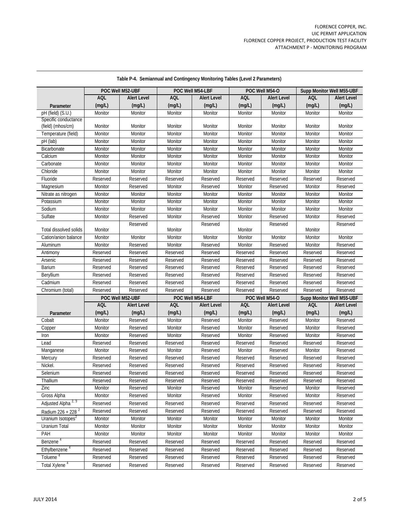|                                 |            | POC Well M52-UBF   |            | POC Well M54-LBF   |            | POC Well M54-O     |            | Supp Monitor Well M55-UBF |
|---------------------------------|------------|--------------------|------------|--------------------|------------|--------------------|------------|---------------------------|
|                                 | <b>AQL</b> | <b>Alert Level</b> | <b>AQL</b> | <b>Alert Level</b> | <b>AQL</b> | <b>Alert Level</b> | <b>AQL</b> | <b>Alert Level</b>        |
| Parameter                       | (mq/L)     | (mg/L)             | (mg/L)     | (mg/L)             | (mg/L)     | (mg/L)             | (mg/L)     | (mq/L)                    |
| pH (field) (S.U.)               | Monitor    | Monitor            | Monitor    | Monitor            | Monitor    | Monitor            | Monitor    | Monitor                   |
| Specific conductance            |            |                    |            |                    |            |                    |            |                           |
| (field) (mhos/cm)               | Monitor    | Monitor            | Monitor    | Monitor            | Monitor    | Monitor            | Monitor    | Monitor                   |
| Temperature (field)             | Monitor    | Monitor            | Monitor    | Monitor            | Monitor    | Monitor            | Monitor    | Monitor                   |
| pH (lab)                        | Monitor    | Monitor            | Monitor    | Monitor            | Monitor    | Monitor            | Monitor    | Monitor                   |
| Bicarbonate                     | Monitor    | Monitor            | Monitor    | Monitor            | Monitor    | Monitor            | Monitor    | Monitor                   |
| Calcium                         | Monitor    | Monitor            | Monitor    | Monitor            | Monitor    | Monitor            | Monitor    | Monitor                   |
| Carbonate                       | Monitor    | Monitor            | Monitor    | Monitor            | Monitor    | Monitor            | Monitor    | Monitor                   |
| Chloride                        | Monitor    | Monitor            | Monitor    | Monitor            | Monitor    | Monitor            | Monitor    | Monitor                   |
| Fluoride                        | Reserved   | Reserved           | Reserved   | Reserved           | Reserved   | Reserved           | Reserved   | Reserved                  |
| Magnesium                       | Monitor    | Reserved           | Monitor    | Reserved           | Monitor    | Reserved           | Monitor    | Reserved                  |
| Nitrate as nitrogen             | Monitor    | Monitor            | Monitor    | Monitor            | Monitor    | Monitor            | Monitor    | Monitor                   |
| Potassium                       | Monitor    | Monitor            | Monitor    | Monitor            | Monitor    | Monitor            | Monitor    | Monitor                   |
| Sodium                          | Monitor    | Monitor            | Monitor    | Monitor            | Monitor    | Monitor            | Monitor    | Monitor                   |
| Sulfate                         | Monitor    | Reserved           | Monitor    | Reserved           | Monitor    | Reserved           | Monitor    | Reserved                  |
| Total dissolved solids          | Monitor    | Reserved           | Monitor    | Reserved           | Monitor    | Reserved           | Monitor    | Reserved                  |
| Cation/anion balance            | Monitor    | Monitor            | Monitor    | Monitor            | Monitor    | Monitor            | Monitor    | Monitor                   |
| Aluminum                        | Monitor    | Reserved           | Monitor    | Reserved           | Monitor    | Reserved           | Monitor    | Reserved                  |
| Antimony                        | Reserved   | Reserved           | Reserved   | Reserved           | Reserved   | Reserved           | Reserved   | Reserved                  |
| Arsenic                         | Reserved   | Reserved           | Reserved   | Reserved           | Reserved   | Reserved           | Reserved   | Reserved                  |
| <b>Barium</b>                   | Reserved   | Reserved           | Reserved   | Reserved           | Reserved   | Reserved           | Reserved   | Reserved                  |
| Beryllium                       | Reserved   | Reserved           | Reserved   | Reserved           | Reserved   | Reserved           | Reserved   | Reserved                  |
| Cadmium                         | Reserved   | Reserved           | Reserved   | Reserved           | Reserved   | Reserved           | Reserved   | Reserved                  |
| Chromium (total)                | Reserved   | Reserved           | Reserved   | Reserved           | Reserved   | Reserved           | Reserved   | Reserved                  |
|                                 |            | POC Well M52-UBF   |            | POC Well M54-LBF   |            | POC Well M54-O     |            | Supp Monitor Well M55-UBF |
|                                 | <b>AQL</b> | <b>Alert Level</b> | <b>AQL</b> | <b>Alert Level</b> | <b>AQL</b> | <b>Alert Level</b> | <b>AQL</b> | <b>Alert Level</b>        |
| Parameter                       | (mg/L)     | (mg/L)             | (mg/L)     | (mg/L)             | (mg/L)     | (mg/L)             | (mg/L)     | (mg/L)                    |
| Cobalt                          | Monitor    | Reserved           | Monitor    | Reserved           | Monitor    | Reserved           | Monitor    | Reserved                  |
| Copper                          | Monitor    | Reserved           | Monitor    | Reserved           | Monitor    | Reserved           | Monitor    | Reserved                  |
| Iron                            | Monitor    | Reserved           | Monitor    | Reserved           | Monitor    | Reserved           | Monitor    | Reserved                  |
| Lead                            | Reserved   | Reserved           | Reserved   | Reserved           | Reserved   | Reserved           | Reserved   | Reserved                  |
| Manganese                       | Monitor    | Reserved           | Monitor    | Reserved           | Monitor    | Reserved           | Monitor    | Reserved                  |
| Mercury                         | Reserved   | Reserved           | Reserved   | Reserved           | Reserved   | Reserved           | Reserved   | Reserved                  |
| Nickel.                         | Reserved   | Reserved           | Reserved   | Reserved           | Reserved   | Reserved           | Reserved   | Reserved                  |
| Selenium                        | Reserved   | Reserved           | Reserved   | Reserved           | Reserved   | Reserved           | Reserved   | Reserved                  |
| Thallium                        | Reserved   | Reserved           | Reserved   | Reserved           | Reserved   | Reserved           | Reserved   | Reserved                  |
| Zinc                            | Monitor    | Reserved           | Monitor    | Reserved           | Monitor    | Reserved           | Monitor    | Reserved                  |
| Gross Alpha                     | Monitor    | Reserved           | Monitor    | Reserved           | Monitor    | Reserved           | Monitor    | Reserved                  |
| Adjusted Alpha <sup>2, '3</sup> | Reserved   | Reserved           | Reserved   | Reserved           | Reserved   | Reserved           | Reserved   | Reserved                  |
| Radium 226 + 228 <sup>2</sup>   | Reserved   | Reserved           | Reserved   | Reserved           | Reserved   | Reserved           | Reserved   | Reserved                  |
| Uranium Isotopes <sup>2</sup>   | Monitor    | Monitor            | Monitor    | Monitor            | Monitor    | Monitor            | Monitor    | Monitor                   |
| Uranium Total                   | Monitor    | Monitor            | Monitor    | Monitor            | Monitor    | Monitor            | Monitor    | Monitor                   |
| PAH                             | Monitor    | Monitor            | Monitor    | Monitor            | Monitor    | Monitor            | Monitor    | Monitor                   |
| Benzene <sup>4</sup>            | Reserved   | Reserved           | Reserved   | Reserved           | Reserved   | Reserved           | Reserved   | Reserved                  |
| Ethylbenzene <sup>4</sup>       | Reserved   | Reserved           | Reserved   | Reserved           | Reserved   | Reserved           | Reserved   | Reserved                  |
| Toluene <sup>4</sup>            | Reserved   | Reserved           | Reserved   | Reserved           | Reserved   | Reserved           | Reserved   | Reserved                  |
| Total Xylene <sup>4</sup>       | Reserved   | Reserved           | Reserved   | Reserved           | Reserved   | Reserved           | Reserved   | Reserved                  |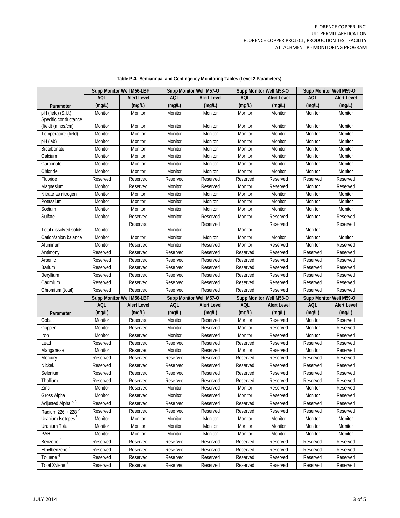|                                |            | Supp Monitor Well M56-LBF |            | Supp Monitor Well M57-O |            | Supp Monitor Well M58-O | Supp Monitor Well M59-O |                    |
|--------------------------------|------------|---------------------------|------------|-------------------------|------------|-------------------------|-------------------------|--------------------|
|                                | <b>AQL</b> | <b>Alert Level</b>        | <b>AQL</b> | <b>Alert Level</b>      | <b>AQL</b> | <b>Alert Level</b>      | AQL                     | <b>Alert Level</b> |
| Parameter                      | (mg/L)     | (mg/L)                    | (mg/L)     | (mq/L)                  | (mg/L)     | (mg/L)                  | (mg/L)                  | (mg/L)             |
| pH (field) (S.U.)              | Monitor    | Monitor                   | Monitor    | Monitor                 | Monitor    | Monitor                 | Monitor                 | Monitor            |
| Specific conductance           |            |                           |            |                         |            |                         |                         |                    |
| (field) (mhos/cm)              | Monitor    | Monitor                   | Monitor    | Monitor                 | Monitor    | Monitor                 | Monitor                 | Monitor            |
| Temperature (field)            | Monitor    | Monitor                   | Monitor    | Monitor                 | Monitor    | Monitor                 | Monitor                 | Monitor            |
| pH (lab)                       | Monitor    | Monitor                   | Monitor    | Monitor                 | Monitor    | Monitor                 | Monitor                 | Monitor            |
| Bicarbonate                    | Monitor    | Monitor                   | Monitor    | Monitor                 | Monitor    | Monitor                 | Monitor                 | Monitor            |
| Calcium                        | Monitor    | Monitor                   | Monitor    | Monitor                 | Monitor    | Monitor                 | Monitor                 | Monitor            |
| Carbonate                      | Monitor    | Monitor                   | Monitor    | Monitor                 | Monitor    | Monitor                 | Monitor                 | Monitor            |
| Chloride                       | Monitor    | Monitor                   | Monitor    | Monitor                 | Monitor    | Monitor                 | Monitor                 | Monitor            |
| Fluoride                       | Reserved   | Reserved                  | Reserved   | Reserved                | Reserved   | Reserved                | Reserved                | Reserved           |
| Magnesium                      | Monitor    | Reserved                  | Monitor    | Reserved                | Monitor    | Reserved                | Monitor                 | Reserved           |
| Nitrate as nitrogen            | Monitor    | Monitor                   | Monitor    | Monitor                 | Monitor    | Monitor                 | Monitor                 | Monitor            |
| Potassium                      | Monitor    | Monitor                   | Monitor    | Monitor                 | Monitor    | Monitor                 | Monitor                 | Monitor            |
| Sodium                         | Monitor    | Monitor                   | Monitor    | Monitor                 | Monitor    | Monitor                 | Monitor                 | Monitor            |
| Sulfate                        | Monitor    | Reserved                  | Monitor    | Reserved                | Monitor    | Reserved                | Monitor                 | Reserved           |
| Total dissolved solids         | Monitor    | Reserved                  | Monitor    | Reserved                | Monitor    | Reserved                | Monitor                 | Reserved           |
| Cation/anion balance           | Monitor    | Monitor                   | Monitor    | Monitor                 | Monitor    | Monitor                 | Monitor                 | Monitor            |
| Aluminum                       | Monitor    | Reserved                  | Monitor    | Reserved                | Monitor    | Reserved                | Monitor                 | Reserved           |
| Antimony                       | Reserved   | Reserved                  | Reserved   | Reserved                | Reserved   | Reserved                | Reserved                | Reserved           |
| Arsenic                        | Reserved   | Reserved                  | Reserved   | Reserved                | Reserved   | Reserved                | Reserved                | Reserved           |
| Barium                         | Reserved   | Reserved                  | Reserved   | Reserved                | Reserved   | Reserved                | Reserved                | Reserved           |
| Beryllium                      | Reserved   | Reserved                  | Reserved   | Reserved                | Reserved   | Reserved                | Reserved                | Reserved           |
| Cadmium                        | Reserved   | Reserved                  | Reserved   | Reserved                | Reserved   | Reserved                | Reserved                | Reserved           |
| Chromium (total)               | Reserved   | Reserved                  | Reserved   | Reserved                | Reserved   | Reserved                | Reserved                | Reserved           |
|                                |            | Supp Monitor Well M56-LBF |            | Supp Monitor Well M57-O |            | Supp Monitor Well M58-O | Supp Monitor Well M59-O |                    |
|                                | <b>AQL</b> | <b>Alert Level</b>        | AQL        | <b>Alert Level</b>      | <b>AQL</b> | <b>Alert Level</b>      | <b>AQL</b>              | <b>Alert Level</b> |
| Parameter                      | (mg/L)     | (mg/L)                    | (mg/L)     | (mg/L)                  | (mg/L)     | (mg/L)                  | (mg/L)                  | (mg/L)             |
| Cobalt                         | Monitor    | Reserved                  | Monitor    | Reserved                | Monitor    | Reserved                | Monitor                 | Reserved           |
| Copper                         | Monitor    | Reserved                  | Monitor    | Reserved                | Monitor    | Reserved                | Monitor                 | Reserved           |
| Iron                           | Monitor    | Reserved                  | Monitor    | Reserved                | Monitor    | Reserved                | Monitor                 | Reserved           |
| Lead                           | Reserved   | Reserved                  | Reserved   | Reserved                | Reserved   | Reserved                | Reserved                | Reserved           |
| Manganese                      | Monitor    | Reserved                  | Monitor    | Reserved                | Monitor    | Reserved                | Monitor                 | Reserved           |
| Mercury                        | Reserved   | Reserved                  | Reserved   | Reserved                | Reserved   | Reserved                | Reserved                | Reserved           |
| Nickel.                        | Reserved   | Reserved                  | Reserved   | Reserved                | Reserved   | Reserved                | Reserved                | Reserved           |
| Selenium                       | Reserved   | Reserved                  | Reserved   | Reserved                | Reserved   | Reserved                | Reserved                | Reserved           |
| Thallium                       | Reserved   | Reserved                  | Reserved   | Reserved                | Reserved   | Reserved                | Reserved                | Reserved           |
| Zinc                           | Monitor    | Reserved                  | Monitor    | Reserved                | Monitor    | Reserved                | Monitor                 | Reserved           |
| Gross Alpha                    | Monitor    | Reserved                  | Monitor    | Reserved                | Monitor    | Reserved                | Monitor                 | Reserved           |
| Adjusted Alpha <sup>2, 3</sup> | Reserved   | Reserved                  | Reserved   | Reserved                | Reserved   | Reserved                | Reserved                | Reserved           |
| Radium 226 + 228 <sup>2</sup>  | Reserved   | Reserved                  | Reserved   | Reserved                | Reserved   | Reserved                | Reserved                | Reserved           |
| Uranium Isotopes <sup>2</sup>  | Monitor    | Monitor                   | Monitor    | Monitor                 | Monitor    | Monitor                 | Monitor                 | Monitor            |
| Uranium Total                  | Monitor    | Monitor                   | Monitor    | Monitor                 | Monitor    | Monitor                 | Monitor                 | Monitor            |
| PAH                            | Monitor    | Monitor                   | Monitor    | Monitor                 | Monitor    | Monitor                 | Monitor                 | Monitor            |
| Benzene <sup>4</sup>           | Reserved   | Reserved                  | Reserved   | Reserved                | Reserved   | Reserved                | Reserved                | Reserved           |
| Ethylbenzene <sup>4</sup>      | Reserved   | Reserved                  | Reserved   | Reserved                | Reserved   | Reserved                | Reserved                | Reserved           |
| Toluene <sup>4</sup>           | Reserved   | Reserved                  | Reserved   | Reserved                | Reserved   | Reserved                | Reserved                | Reserved           |
| Total Xylene <sup>4</sup>      | Reserved   | Reserved                  | Reserved   | Reserved                | Reserved   | Reserved                | Reserved                | Reserved           |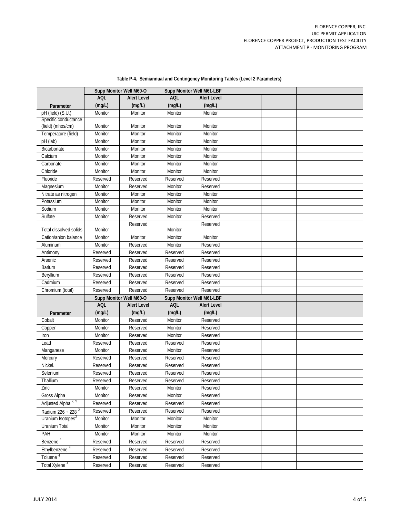|                                |            | Supp Monitor Well M60-O |            | Supp Monitor Well M61-LBF |  |  |
|--------------------------------|------------|-------------------------|------------|---------------------------|--|--|
|                                | <b>AQL</b> | <b>Alert Level</b>      | <b>AQL</b> | <b>Alert Level</b>        |  |  |
| Parameter                      | (mg/L)     | (mq/L)                  | (mg/L)     | (mq/L)                    |  |  |
| pH (field) (S.U.)              | Monitor    | Monitor                 | Monitor    | Monitor                   |  |  |
| Specific conductance           |            |                         |            |                           |  |  |
| (field) (mhos/cm)              | Monitor    | Monitor                 | Monitor    | Monitor                   |  |  |
| Temperature (field)            | Monitor    | Monitor                 | Monitor    | Monitor                   |  |  |
| pH (lab)                       | Monitor    | Monitor                 | Monitor    | Monitor                   |  |  |
| Bicarbonate                    | Monitor    | Monitor                 | Monitor    | Monitor                   |  |  |
| Calcium                        | Monitor    | Monitor                 | Monitor    | Monitor                   |  |  |
| Carbonate                      | Monitor    | Monitor                 | Monitor    | Monitor                   |  |  |
| Chloride                       | Monitor    | Monitor                 | Monitor    | Monitor                   |  |  |
| Fluoride                       | Reserved   | Reserved                | Reserved   | Reserved                  |  |  |
| Magnesium                      | Monitor    | Reserved                | Monitor    | Reserved                  |  |  |
| Nitrate as nitrogen            | Monitor    | Monitor                 | Monitor    | Monitor                   |  |  |
| Potassium                      | Monitor    | Monitor                 | Monitor    | Monitor                   |  |  |
| Sodium                         | Monitor    | Monitor                 | Monitor    | Monitor                   |  |  |
| Sulfate                        | Monitor    | Reserved                | Monitor    | Reserved                  |  |  |
| Total dissolved solids         | Monitor    | Reserved                | Monitor    | Reserved                  |  |  |
| Cation/anion balance           | Monitor    | Monitor                 | Monitor    | Monitor                   |  |  |
| Aluminum                       | Monitor    | Reserved                | Monitor    | Reserved                  |  |  |
| Antimony                       | Reserved   | Reserved                | Reserved   | Reserved                  |  |  |
| Arsenic                        | Reserved   | Reserved                | Reserved   | Reserved                  |  |  |
| <b>Barium</b>                  | Reserved   | Reserved                | Reserved   | Reserved                  |  |  |
| <b>Beryllium</b>               | Reserved   | Reserved                | Reserved   | Reserved                  |  |  |
| Cadmium                        | Reserved   | Reserved                | Reserved   | Reserved                  |  |  |
| Chromium (total)               | Reserved   | Reserved                | Reserved   | Reserved                  |  |  |
|                                |            | Supp Monitor Well M60-O |            | Supp Monitor Well M61-LBF |  |  |
|                                | <b>AQL</b> | <b>Alert Level</b>      | <b>AQL</b> | <b>Alert Level</b>        |  |  |
| Parameter                      | (mg/L)     | (mg/L)                  | (mg/L)     | (mg/L)                    |  |  |
| Cobalt                         | Monitor    | Reserved                | Monitor    | Reserved                  |  |  |
| Copper                         | Monitor    | Reserved                | Monitor    | Reserved                  |  |  |
| Iron                           | Monitor    | Reserved                | Monitor    | Reserved                  |  |  |
| Lead                           | Reserved   | Reserved                | Reserved   | Reserved                  |  |  |
| Manganese                      | Monitor    | Reserved                | Monitor    | Reserved                  |  |  |
| Mercury                        | Reserved   | Reserved                | Reserved   | Reserved                  |  |  |
| Nickel.                        | Reserved   | Reserved                | Reserved   | Reserved                  |  |  |
| Selenium                       | Reserved   | Reserved                | Reserved   | Reserved                  |  |  |
| Thallium                       | Reserved   | Reserved                | Reserved   | Reserved                  |  |  |
| Zinc                           | Monitor    | Reserved                | Monitor    | Reserved                  |  |  |
| Gross Alpha                    | Monitor    | Reserved                | Monitor    | Reserved                  |  |  |
| Adjusted Alpha <sup>2, 3</sup> | Reserved   | Reserved                | Reserved   | Reserved                  |  |  |
| Radium 226 + 228 <sup>2</sup>  | Reserved   | Reserved                | Reserved   | Reserved                  |  |  |
| Uranium Isotopes <sup>2</sup>  | Monitor    | Monitor                 | Monitor    | Monitor                   |  |  |
| Uranium Total                  | Monitor    | Monitor                 | Monitor    | Monitor                   |  |  |
| PAH                            | Monitor    | Monitor                 | Monitor    | Monitor                   |  |  |
| Benzene <sup>4</sup>           | Reserved   | Reserved                | Reserved   | Reserved                  |  |  |
| Ethylbenzene <sup>4</sup>      | Reserved   | Reserved                | Reserved   | Reserved                  |  |  |
| Toluene <sup>4</sup>           | Reserved   | Reserved                | Reserved   | Reserved                  |  |  |
| Total Xylene <sup>4</sup>      | Reserved   | Reserved                | Reserved   | Reserved                  |  |  |